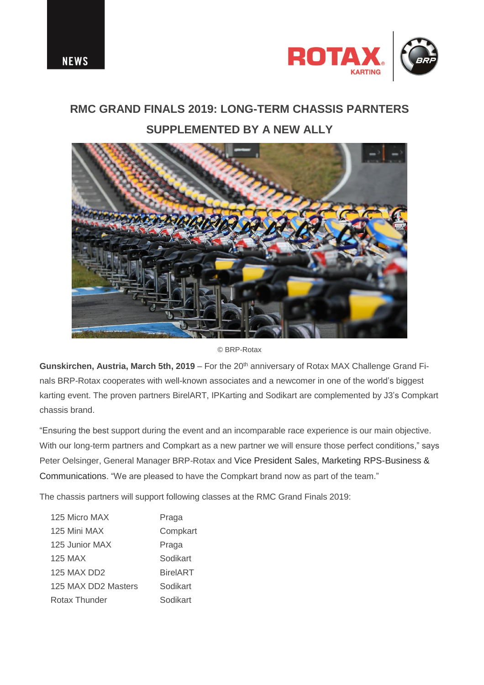

## **RMC GRAND FINALS 2019: LONG-TERM CHASSIS PARNTERS SUPPLEMENTED BY A NEW ALLY**



© BRP-Rotax

Gunskirchen, Austria, March 5th, 2019 – For the 20<sup>th</sup> anniversary of Rotax MAX Challenge Grand Finals BRP-Rotax cooperates with well-known associates and a newcomer in one of the world's biggest karting event. The proven partners BirelART, IPKarting and Sodikart are complemented by J3's Compkart chassis brand.

"Ensuring the best support during the event and an incomparable race experience is our main objective. With our long-term partners and Compkart as a new partner we will ensure those perfect conditions," says Peter Oelsinger, General Manager BRP-Rotax and Vice President Sales, Marketing RPS-Business & Communications. "We are pleased to have the Compkart brand now as part of the team."

The chassis partners will support following classes at the RMC Grand Finals 2019:

| 125 Micro MAX       | Praga           |
|---------------------|-----------------|
| 125 Mini MAX        | Compkart        |
| 125 Junior MAX      | Praga           |
| 125 MAX             | Sodikart        |
| <b>125 MAX DD2</b>  | <b>BirelART</b> |
| 125 MAX DD2 Masters | Sodikart        |
| Rotax Thunder       | Sodikart        |